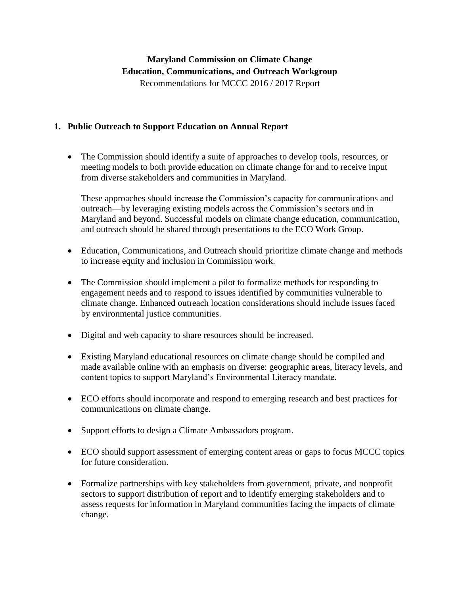# **Maryland Commission on Climate Change Education, Communications, and Outreach Workgroup** Recommendations for MCCC 2016 / 2017 Report

#### **1. Public Outreach to Support Education on Annual Report**

 The Commission should identify a suite of approaches to develop tools, resources, or meeting models to both provide education on climate change for and to receive input from diverse stakeholders and communities in Maryland.

These approaches should increase the Commission's capacity for communications and outreach—by leveraging existing models across the Commission's sectors and in Maryland and beyond. Successful models on climate change education, communication, and outreach should be shared through presentations to the ECO Work Group.

- Education, Communications, and Outreach should prioritize climate change and methods to increase equity and inclusion in Commission work.
- The Commission should implement a pilot to formalize methods for responding to engagement needs and to respond to issues identified by communities vulnerable to climate change. Enhanced outreach location considerations should include issues faced by environmental justice communities.
- Digital and web capacity to share resources should be increased.
- Existing Maryland educational resources on climate change should be compiled and made available online with an emphasis on diverse: geographic areas, literacy levels, and content topics to support Maryland's Environmental Literacy mandate.
- ECO efforts should incorporate and respond to emerging research and best practices for communications on climate change.
- Support efforts to design a Climate Ambassadors program.
- ECO should support assessment of emerging content areas or gaps to focus MCCC topics for future consideration.
- Formalize partnerships with key stakeholders from government, private, and nonprofit sectors to support distribution of report and to identify emerging stakeholders and to assess requests for information in Maryland communities facing the impacts of climate change.